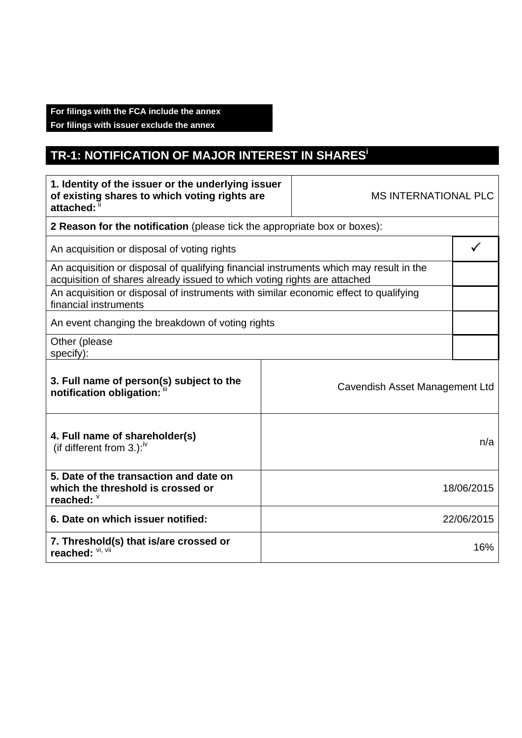## **For filings with the FCA include the annex**

**For filings with issuer exclude the annex** 

## **TR-1: NOTIFICATION OF MAJOR INTEREST IN SHARESi**

| 1. Identity of the issuer or the underlying issuer<br>of existing shares to which voting rights are<br>attached:                                                   |  | <b>MS INTERNATIONAL PLC</b>    |              |
|--------------------------------------------------------------------------------------------------------------------------------------------------------------------|--|--------------------------------|--------------|
| 2 Reason for the notification (please tick the appropriate box or boxes):                                                                                          |  |                                |              |
| An acquisition or disposal of voting rights                                                                                                                        |  |                                | $\checkmark$ |
| An acquisition or disposal of qualifying financial instruments which may result in the<br>acquisition of shares already issued to which voting rights are attached |  |                                |              |
| An acquisition or disposal of instruments with similar economic effect to qualifying<br>financial instruments                                                      |  |                                |              |
| An event changing the breakdown of voting rights                                                                                                                   |  |                                |              |
| Other (please<br>specify):                                                                                                                                         |  |                                |              |
| 3. Full name of person(s) subject to the<br>notification obligation: "                                                                                             |  | Cavendish Asset Management Ltd |              |
| 4. Full name of shareholder(s)<br>(if different from 3.): $\mu$                                                                                                    |  | n/a                            |              |
| 5. Date of the transaction and date on<br>which the threshold is crossed or<br>reached: V                                                                          |  | 18/06/2015                     |              |
| 6. Date on which issuer notified:                                                                                                                                  |  | 22/06/2015                     |              |
| 7. Threshold(s) that is/are crossed or<br>reached: VI, VII                                                                                                         |  | 16%                            |              |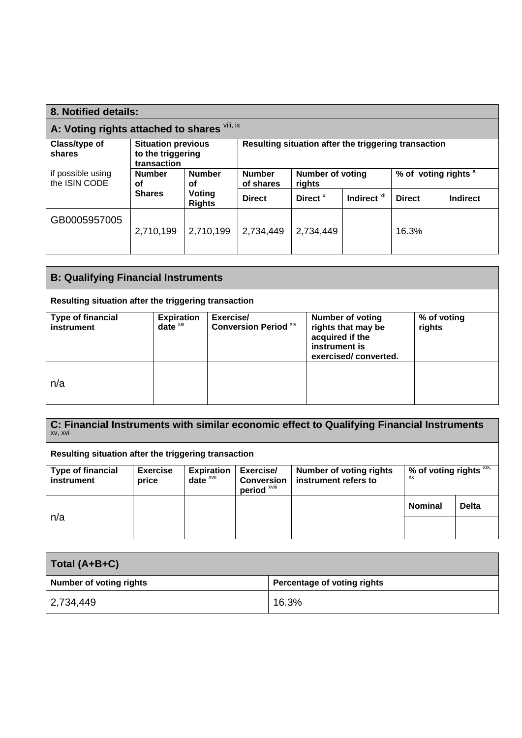| 8. Notified details:                         |                                                               |                            |                                                      |                      |                                 |               |                 |
|----------------------------------------------|---------------------------------------------------------------|----------------------------|------------------------------------------------------|----------------------|---------------------------------|---------------|-----------------|
| A: Voting rights attached to shares Vill, ix |                                                               |                            |                                                      |                      |                                 |               |                 |
| Class/type of<br>shares                      | <b>Situation previous</b><br>to the triggering<br>transaction |                            | Resulting situation after the triggering transaction |                      |                                 |               |                 |
| if possible using<br>the ISIN CODE           | <b>Number</b><br><b>Number</b><br>οf<br>οf                    | <b>Number</b><br>of shares | <b>Number of voting</b><br>rights                    |                      | % of voting rights <sup>x</sup> |               |                 |
|                                              | <b>Shares</b>                                                 | Voting<br><b>Rights</b>    | <b>Direct</b>                                        | Direct <sup>xi</sup> | Indirect <sup>xii</sup>         | <b>Direct</b> | <b>Indirect</b> |
| GB0005957005                                 | 2,710,199                                                     | 2,710,199                  | 2,734,449                                            | 2,734,449            |                                 | 16.3%         |                 |

| <b>B: Qualifying Financial Instruments</b>           |                               |                                    |                                                                                                           |                       |  |
|------------------------------------------------------|-------------------------------|------------------------------------|-----------------------------------------------------------------------------------------------------------|-----------------------|--|
| Resulting situation after the triggering transaction |                               |                                    |                                                                                                           |                       |  |
| <b>Type of financial</b><br>instrument               | <b>Expiration</b><br>$date^x$ | Exercise/<br>Conversion Period Xiv | <b>Number of voting</b><br>rights that may be<br>acquired if the<br>instrument is<br>exercised/converted. | % of voting<br>rights |  |
| n/a                                                  |                               |                                    |                                                                                                           |                       |  |

| C: Financial Instruments with similar economic effect to Qualifying Financial Instruments<br>XV, XVI |                          |                                     |                                                           |                                                        |                                      |              |
|------------------------------------------------------------------------------------------------------|--------------------------|-------------------------------------|-----------------------------------------------------------|--------------------------------------------------------|--------------------------------------|--------------|
| Resulting situation after the triggering transaction                                                 |                          |                                     |                                                           |                                                        |                                      |              |
| <b>Type of financial</b><br>instrument                                                               | <b>Exercise</b><br>price | <b>Expiration</b><br>date $^{xvii}$ | Exercise/<br><b>Conversion</b><br>period <sup>xviii</sup> | <b>Number of voting rights</b><br>instrument refers to | % of voting rights XIX,<br><b>XX</b> |              |
| n/a                                                                                                  |                          |                                     |                                                           |                                                        | <b>Nominal</b>                       | <b>Delta</b> |

| Total $(A+B+C)$                |                             |
|--------------------------------|-----------------------------|
| <b>Number of voting rights</b> | Percentage of voting rights |
| 2,734,449                      | 16.3%                       |